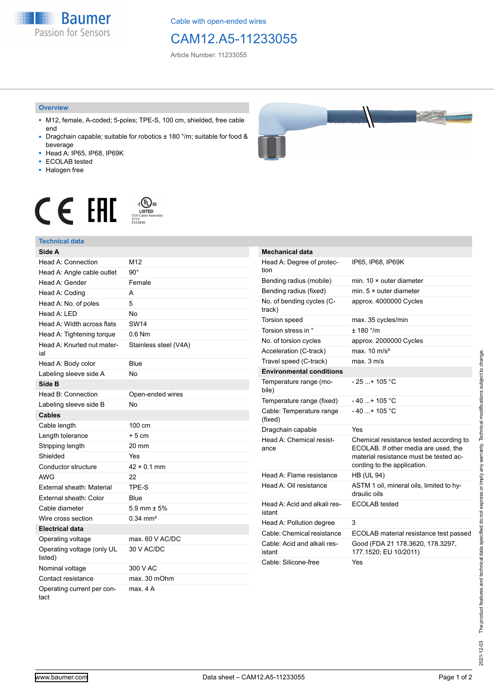**Baumer** Passion for Sensors

Cable with open-ended wires

# CAM12.A5-11233055

Article Number: 11233055

#### **Overview**

- M12, female, A-coded; 5-poles; TPE-S, 100 cm, shielded, free cable end
- Dragchain capable; suitable for robotics ± 180 °/m; suitable for food & beverage
- Head A: IP65, IP68, IP69K
- ECOLAB tested
- Halogen free



# $\displaystyle \mathop{\mathsf{C}}\limits_{\substack{\mathsf{C} \text{YJV Cable Asser}\ \text{47YY} \ \text{47YY}}} \mathop{\mathsf{LISTED}}\limits_{\substack{\mathsf{C} \text{47YY} \ \text{E}315836}}$ CE EAL

## **Technical data**

| Side A                                |                       |
|---------------------------------------|-----------------------|
| Head A: Connection                    | M <sub>12</sub>       |
| Head A: Angle cable outlet            | $90^\circ$            |
| Head A: Gender                        | Female                |
| Head A: Coding                        | A                     |
| Head A: No. of poles                  | 5                     |
| Head A: LED                           | No                    |
| Head A: Width across flats            | <b>SW14</b>           |
| Head A: Tightening torque             | $0.6$ Nm              |
| Head A: Knurled nut mater-<br>ial     | Stainless steel (V4A) |
| Head A: Body color                    | Blue                  |
| Labeling sleeve side A                | No                    |
| Side B                                |                       |
| Head B: Connection                    | Open-ended wires      |
| Labeling sleeve side B                | No                    |
| <b>Cables</b>                         |                       |
| Cable length                          | 100 cm                |
| Length tolerance                      | $+5cm$                |
| Stripping length                      | 20 mm                 |
| Shielded                              | Yes                   |
| Conductor structure                   | $42 \times 0.1$ mm    |
| AWG                                   | 22                    |
| External sheath: Material             | TPE-S                 |
| External sheath: Color                | Blue                  |
| Cable diameter                        | 5.9 mm $\pm$ 5%       |
| Wire cross section                    | $0.34 \, \text{mm}^2$ |
| <b>Electrical data</b>                |                       |
| Operating voltage                     | max. 60 V AC/DC       |
| Operating voltage (only UL<br>listed) | 30 V AC/DC            |
| Nominal voltage                       | 300 V AC              |
| Contact resistance                    | max. 30 mOhm          |
| Operating current per con-<br>tact    | max. 4 A              |

| <b>Mechanical data</b>                 |                                                                                                                                                          |
|----------------------------------------|----------------------------------------------------------------------------------------------------------------------------------------------------------|
| Head A: Degree of protec-<br>tion      | IP65, IP68, IP69K                                                                                                                                        |
| Bending radius (mobile)                | min. 10 × outer diameter                                                                                                                                 |
| Bending radius (fixed)                 | min. $5 \times$ outer diameter                                                                                                                           |
| No. of bending cycles (C-<br>track)    | approx. 4000000 Cycles                                                                                                                                   |
| <b>Torsion speed</b>                   | max. 35 cycles/min                                                                                                                                       |
| Torsion stress in °                    | ± 180 °/m                                                                                                                                                |
| No. of torsion cycles                  | approx. 2000000 Cycles                                                                                                                                   |
| Acceleration (C-track)                 | max. $10 \text{ m/s}^2$                                                                                                                                  |
| Travel speed (C-track)                 | max. 3 m/s                                                                                                                                               |
| <b>Environmental conditions</b>        |                                                                                                                                                          |
| Temperature range (mo-<br>bile)        | - 25 + 105 °C                                                                                                                                            |
| Temperature range (fixed)              | - 40 + 105 °C                                                                                                                                            |
| Cable: Temperature range<br>(fixed)    | $-40+105 °C$                                                                                                                                             |
| Dragchain capable                      | Yes                                                                                                                                                      |
| Head A: Chemical resist-<br>ance       | Chemical resistance tested according to<br>ECOLAB. If other media are used, the<br>material resistance must be tested ac-<br>cording to the application. |
| Head A: Flame resistance               | <b>HB (UL 94)</b>                                                                                                                                        |
| Head A: Oil resistance                 | ASTM 1 oil, mineral oils, limited to hy-<br>draulic oils                                                                                                 |
| Head A: Acid and alkali res-<br>istant | <b>ECOLAB</b> tested                                                                                                                                     |
| Head A: Pollution degree               | 3                                                                                                                                                        |
| Cable: Chemical resistance             | ECOLAB material resistance test passed                                                                                                                   |
| Cable: Acid and alkali res-<br>istant  | Good (FDA 21 178.3620, 178.3297,<br>177.1520; EU 10/2011)                                                                                                |
| Cable: Silicone-free                   | Yes                                                                                                                                                      |